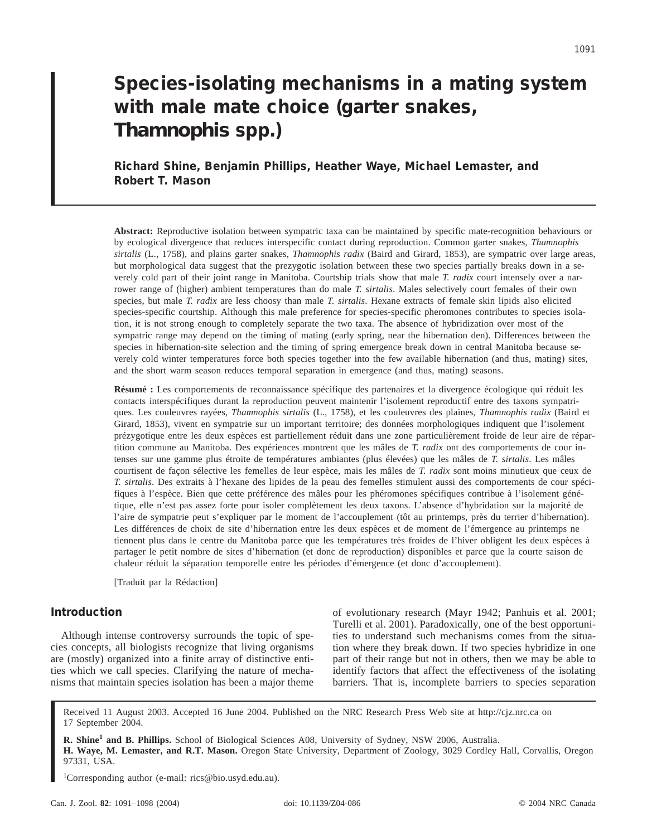# **Species-isolating mechanisms in a mating system with male mate choice (garter snakes,** *Thamnophis* **spp.)**

**Richard Shine, Benjamin Phillips, Heather Waye, Michael Lemaster, and Robert T. Mason**

**Abstract:** Reproductive isolation between sympatric taxa can be maintained by specific mate-recognition behaviours or by ecological divergence that reduces interspecific contact during reproduction. Common garter snakes, *Thamnophis sirtalis* (L., 1758), and plains garter snakes, *Thamnophis radix* (Baird and Girard, 1853), are sympatric over large areas, but morphological data suggest that the prezygotic isolation between these two species partially breaks down in a severely cold part of their joint range in Manitoba. Courtship trials show that male *T. radix* court intensely over a narrower range of (higher) ambient temperatures than do male *T. sirtalis*. Males selectively court females of their own species, but male *T. radix* are less choosy than male *T. sirtalis*. Hexane extracts of female skin lipids also elicited species-specific courtship. Although this male preference for species-specific pheromones contributes to species isolation, it is not strong enough to completely separate the two taxa. The absence of hybridization over most of the sympatric range may depend on the timing of mating (early spring, near the hibernation den). Differences between the species in hibernation-site selection and the timing of spring emergence break down in central Manitoba because severely cold winter temperatures force both species together into the few available hibernation (and thus, mating) sites, and the short warm season reduces temporal separation in emergence (and thus, mating) seasons.

**Résumé :** Les comportements de reconnaissance spécifique des partenaires et la divergence écologique qui réduit les contacts interspécifiques durant la reproduction peuvent maintenir l'isolement reproductif entre des taxons sympatriques. Les couleuvres rayées, *Thamnophis sirtalis* (L., 1758), et les couleuvres des plaines, *Thamnophis radix* (Baird et Girard, 1853), vivent en sympatrie sur un important territoire; des données morphologiques indiquent que l'isolement prézygotique entre les deux espèces est partiellement réduit dans une zone particulièrement froide de leur aire de répartition commune au Manitoba. Des expériences montrent que les mâles de *T. radix* ont des comportements de cour intenses sur une gamme plus étroite de températures ambiantes (plus élevées) que les mâles de *T. sirtalis*. Les mâles courtisent de façon sélective les femelles de leur espèce, mais les mâles de *T. radix* sont moins minutieux que ceux de *T. sirtalis*. Des extraits à l'hexane des lipides de la peau des femelles stimulent aussi des comportements de cour spécifiques à l'espèce. Bien que cette préférence des mâles pour les phéromones spécifiques contribue à l'isolement génétique, elle n'est pas assez forte pour isoler complètement les deux taxons. L'absence d'hybridation sur la majorité de l'aire de sympatrie peut s'expliquer par le moment de l'accouplement (tôt au printemps, près du terrier d'hibernation). Les différences de choix de site d'hibernation entre les deux espèces et de moment de l'émergence au printemps ne tiennent plus dans le centre du Manitoba parce que les températures très froides de l'hiver obligent les deux espèces à partager le petit nombre de sites d'hibernation (et donc de reproduction) disponibles et parce que la courte saison de chaleur réduit la séparation temporelle entre les périodes d'émergence (et donc d'accouplement).

[Traduit par la Rédaction]

# **Introduction**

Although intense controversy surrounds the topic of species concepts, all biologists recognize that living organisms are (mostly) organized into a finite array of distinctive entities which we call species. Clarifying the nature of mechanisms that maintain species isolation has been a major theme of evolutionary research (Mayr 1942; Panhuis et al. 2001; Turelli et al. 2001). Paradoxically, one of the best opportunities to understand such mechanisms comes from the situation where they break down. If two species hybridize in one part of their range but not in others, then we may be able to identify factors that affect the effectiveness of the isolating barriers. That is, incomplete barriers to species separation

Received 11 August 2003. Accepted 16 June 2004. Published on the NRC Research Press Web site at http://cjz.nrc.ca on 17 September 2004.

**R. Shine<sup>1</sup> and B. Phillips.** School of Biological Sciences A08, University of Sydney, NSW 2006, Australia. **H. Waye, M. Lemaster, and R.T. Mason.** Oregon State University, Department of Zoology, 3029 Cordley Hall, Corvallis, Oregon 97331, USA.

1 Corresponding author (e-mail: rics@bio.usyd.edu.au).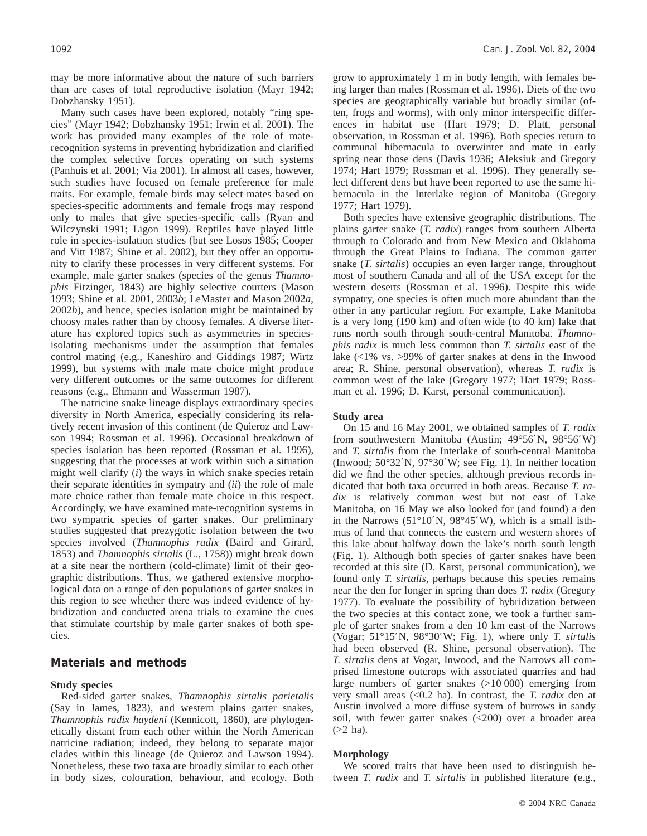may be more informative about the nature of such barriers than are cases of total reproductive isolation (Mayr 1942; Dobzhansky 1951).

Many such cases have been explored, notably "ring species" (Mayr 1942; Dobzhansky 1951; Irwin et al. 2001). The work has provided many examples of the role of materecognition systems in preventing hybridization and clarified the complex selective forces operating on such systems (Panhuis et al. 2001; Via 2001). In almost all cases, however, such studies have focused on female preference for male traits. For example, female birds may select mates based on species-specific adornments and female frogs may respond only to males that give species-specific calls (Ryan and Wilczynski 1991; Ligon 1999). Reptiles have played little role in species-isolation studies (but see Losos 1985; Cooper and Vitt 1987; Shine et al. 2002), but they offer an opportunity to clarify these processes in very different systems. For example, male garter snakes (species of the genus *Thamnophis* Fitzinger, 1843) are highly selective courters (Mason 1993; Shine et al. 2001, 2003*b*; LeMaster and Mason 2002*a*, 2002*b*), and hence, species isolation might be maintained by choosy males rather than by choosy females. A diverse literature has explored topics such as asymmetries in speciesisolating mechanisms under the assumption that females control mating (e.g., Kaneshiro and Giddings 1987; Wirtz 1999), but systems with male mate choice might produce very different outcomes or the same outcomes for different reasons (e.g., Ehmann and Wasserman 1987).

The natricine snake lineage displays extraordinary species diversity in North America, especially considering its relatively recent invasion of this continent (de Quieroz and Lawson 1994; Rossman et al. 1996). Occasional breakdown of species isolation has been reported (Rossman et al. 1996), suggesting that the processes at work within such a situation might well clarify (*i*) the ways in which snake species retain their separate identities in sympatry and (*ii*) the role of male mate choice rather than female mate choice in this respect. Accordingly, we have examined mate-recognition systems in two sympatric species of garter snakes. Our preliminary studies suggested that prezygotic isolation between the two species involved (*Thamnophis radix* (Baird and Girard, 1853) and *Thamnophis sirtalis* (L., 1758)) might break down at a site near the northern (cold-climate) limit of their geographic distributions. Thus, we gathered extensive morphological data on a range of den populations of garter snakes in this region to see whether there was indeed evidence of hybridization and conducted arena trials to examine the cues that stimulate courtship by male garter snakes of both species.

## **Materials and methods**

#### **Study species**

Red-sided garter snakes, *Thamnophis sirtalis parietalis* (Say in James, 1823), and western plains garter snakes, *Thamnophis radix haydeni* (Kennicott, 1860), are phylogenetically distant from each other within the North American natricine radiation; indeed, they belong to separate major clades within this lineage (de Quieroz and Lawson 1994). Nonetheless, these two taxa are broadly similar to each other in body sizes, colouration, behaviour, and ecology. Both grow to approximately 1 m in body length, with females being larger than males (Rossman et al. 1996). Diets of the two species are geographically variable but broadly similar (often, frogs and worms), with only minor interspecific differences in habitat use (Hart 1979; D. Platt, personal observation, in Rossman et al. 1996). Both species return to communal hibernacula to overwinter and mate in early spring near those dens (Davis 1936; Aleksiuk and Gregory 1974; Hart 1979; Rossman et al. 1996). They generally select different dens but have been reported to use the same hibernacula in the Interlake region of Manitoba (Gregory 1977; Hart 1979).

Both species have extensive geographic distributions. The plains garter snake (*T. radix*) ranges from southern Alberta through to Colorado and from New Mexico and Oklahoma through the Great Plains to Indiana. The common garter snake (*T. sirtalis*) occupies an even larger range, throughout most of southern Canada and all of the USA except for the western deserts (Rossman et al. 1996). Despite this wide sympatry, one species is often much more abundant than the other in any particular region. For example, Lake Manitoba is a very long (190 km) and often wide (to 40 km) lake that runs north–south through south-central Manitoba. *Thamnophis radix* is much less common than *T. sirtalis* east of the lake (<1% vs. >99% of garter snakes at dens in the Inwood area; R. Shine, personal observation), whereas *T. radix* is common west of the lake (Gregory 1977; Hart 1979; Rossman et al. 1996; D. Karst, personal communication).

#### **Study area**

On 15 and 16 May 2001, we obtained samples of *T. radix* from southwestern Manitoba (Austin; 49°56′N, 98°56′W) and *T. sirtalis* from the Interlake of south-central Manitoba (Inwood; 50°32′N, 97°30′W; see Fig. 1). In neither location did we find the other species, although previous records indicated that both taxa occurred in both areas. Because *T. radix* is relatively common west but not east of Lake Manitoba, on 16 May we also looked for (and found) a den in the Narrows (51°10′N, 98°45′W), which is a small isthmus of land that connects the eastern and western shores of this lake about halfway down the lake's north–south length (Fig. 1). Although both species of garter snakes have been recorded at this site (D. Karst, personal communication), we found only *T. sirtalis*, perhaps because this species remains near the den for longer in spring than does *T. radix* (Gregory 1977). To evaluate the possibility of hybridization between the two species at this contact zone, we took a further sample of garter snakes from a den 10 km east of the Narrows (Vogar; 51°15′N, 98°30′W; Fig. 1), where only *T. sirtalis* had been observed (R. Shine, personal observation). The *T. sirtalis* dens at Vogar, Inwood, and the Narrows all comprised limestone outcrops with associated quarries and had large numbers of garter snakes (>10 000) emerging from very small areas (<0.2 ha). In contrast, the *T. radix* den at Austin involved a more diffuse system of burrows in sandy soil, with fewer garter snakes (<200) over a broader area  $(>2$  ha).

## **Morphology**

We scored traits that have been used to distinguish between *T. radix* and *T. sirtalis* in published literature (e.g.,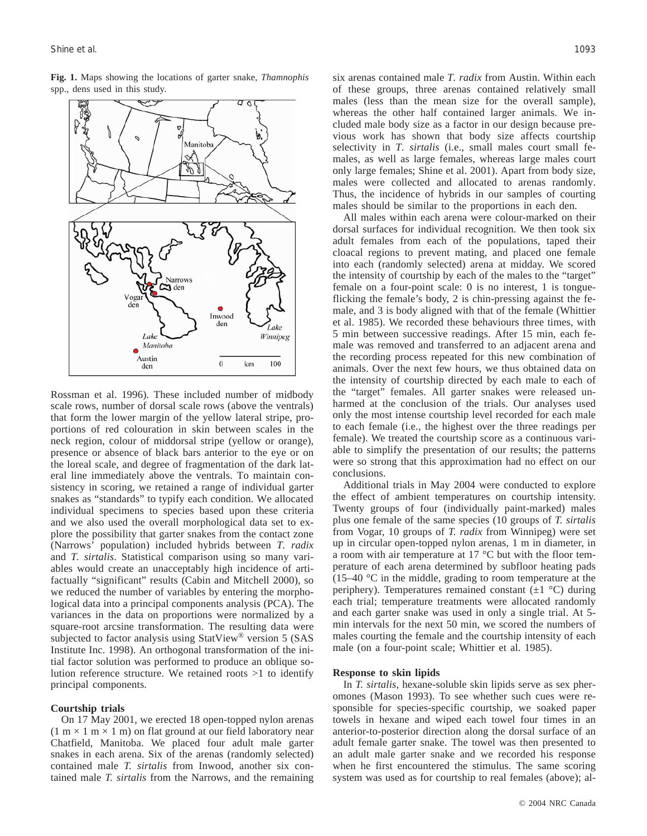**Fig. 1.** Maps showing the locations of garter snake, *Thamnophis* spp., dens used in this study.



Rossman et al. 1996). These included number of midbody scale rows, number of dorsal scale rows (above the ventrals) that form the lower margin of the yellow lateral stripe, proportions of red colouration in skin between scales in the neck region, colour of middorsal stripe (yellow or orange), presence or absence of black bars anterior to the eye or on the loreal scale, and degree of fragmentation of the dark lateral line immediately above the ventrals. To maintain consistency in scoring, we retained a range of individual garter snakes as "standards" to typify each condition. We allocated individual specimens to species based upon these criteria and we also used the overall morphological data set to explore the possibility that garter snakes from the contact zone (Narrows' population) included hybrids between *T. radix* and *T. sirtalis*. Statistical comparison using so many variables would create an unacceptably high incidence of artifactually "significant" results (Cabin and Mitchell 2000), so we reduced the number of variables by entering the morphological data into a principal components analysis (PCA). The variances in the data on proportions were normalized by a square-root arcsine transformation. The resulting data were subjected to factor analysis using StatView® version 5 (SAS Institute Inc. 1998). An orthogonal transformation of the initial factor solution was performed to produce an oblique solution reference structure. We retained roots >1 to identify principal components.

#### **Courtship trials**

On 17 May 2001, we erected 18 open-topped nylon arenas  $(1 \text{ m} \times 1 \text{ m} \times 1 \text{ m})$  on flat ground at our field laboratory near Chatfield, Manitoba. We placed four adult male garter snakes in each arena. Six of the arenas (randomly selected) contained male *T. sirtalis* from Inwood, another six contained male *T. sirtalis* from the Narrows, and the remaining six arenas contained male *T. radix* from Austin. Within each of these groups, three arenas contained relatively small males (less than the mean size for the overall sample), whereas the other half contained larger animals. We included male body size as a factor in our design because previous work has shown that body size affects courtship selectivity in *T. sirtalis* (i.e., small males court small females, as well as large females, whereas large males court only large females; Shine et al. 2001). Apart from body size, males were collected and allocated to arenas randomly. Thus, the incidence of hybrids in our samples of courting males should be similar to the proportions in each den.

All males within each arena were colour-marked on their dorsal surfaces for individual recognition. We then took six adult females from each of the populations, taped their cloacal regions to prevent mating, and placed one female into each (randomly selected) arena at midday. We scored the intensity of courtship by each of the males to the "target" female on a four-point scale: 0 is no interest, 1 is tongueflicking the female's body, 2 is chin-pressing against the female, and 3 is body aligned with that of the female (Whittier et al. 1985). We recorded these behaviours three times, with 5 min between successive readings. After 15 min, each female was removed and transferred to an adjacent arena and the recording process repeated for this new combination of animals. Over the next few hours, we thus obtained data on the intensity of courtship directed by each male to each of the "target" females. All garter snakes were released unharmed at the conclusion of the trials. Our analyses used only the most intense courtship level recorded for each male to each female (i.e., the highest over the three readings per female). We treated the courtship score as a continuous variable to simplify the presentation of our results; the patterns were so strong that this approximation had no effect on our conclusions.

Additional trials in May 2004 were conducted to explore the effect of ambient temperatures on courtship intensity. Twenty groups of four (individually paint-marked) males plus one female of the same species (10 groups of *T. sirtalis* from Vogar, 10 groups of *T. radix* from Winnipeg) were set up in circular open-topped nylon arenas, 1 m in diameter, in a room with air temperature at 17 °C but with the floor temperature of each arena determined by subfloor heating pads (15–40 °C in the middle, grading to room temperature at the periphery). Temperatures remained constant  $(\pm 1 \degree C)$  during each trial; temperature treatments were allocated randomly and each garter snake was used in only a single trial. At 5 min intervals for the next 50 min, we scored the numbers of males courting the female and the courtship intensity of each male (on a four-point scale; Whittier et al. 1985).

## **Response to skin lipids**

In *T. sirtalis*, hexane-soluble skin lipids serve as sex pheromones (Mason 1993). To see whether such cues were responsible for species-specific courtship, we soaked paper towels in hexane and wiped each towel four times in an anterior-to-posterior direction along the dorsal surface of an adult female garter snake. The towel was then presented to an adult male garter snake and we recorded his response when he first encountered the stimulus. The same scoring system was used as for courtship to real females (above); al-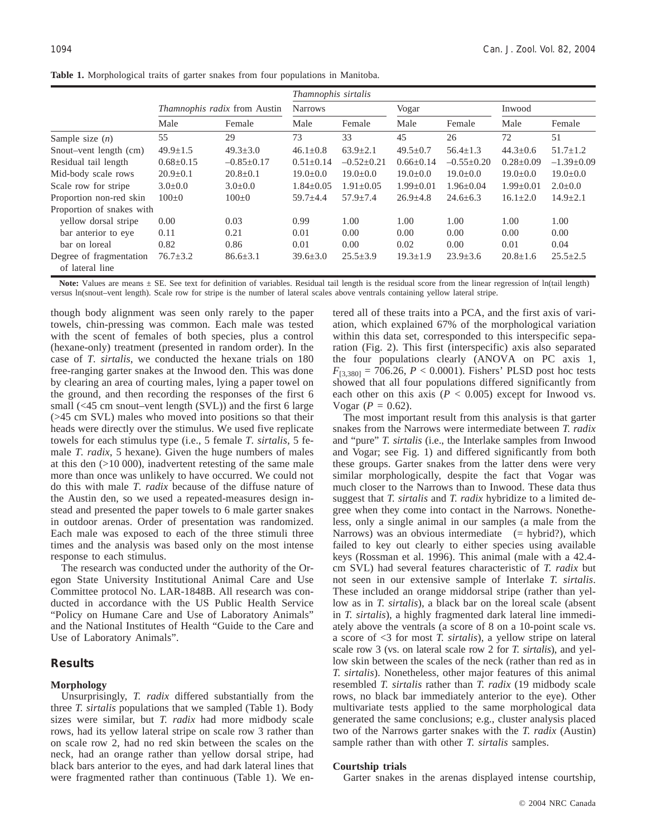|                                            | Thamnophis sirtalis                 |                  |                 |                 |                 |                  |                 |                  |
|--------------------------------------------|-------------------------------------|------------------|-----------------|-----------------|-----------------|------------------|-----------------|------------------|
|                                            | <i>Thamnophis radix</i> from Austin |                  | <b>Narrows</b>  |                 | Vogar           |                  | Inwood          |                  |
|                                            | Male                                | Female           | Male            | Female          | Male            | Female           | Male            | Female           |
| Sample size $(n)$                          | 55                                  | 29               | 73              | 33              | 45              | 26               | 72              | 51               |
| Snout-vent length (cm)                     | $49.9 \pm 1.5$                      | $49.3 \pm 3.0$   | $46.1 \pm 0.8$  | $63.9 + 2.1$    | $49.5 \pm 0.7$  | $56.4 + 1.3$     | $44.3 \pm 0.6$  | $51.7 \pm 1.2$   |
| Residual tail length                       | $0.68 \pm 0.15$                     | $-0.85 \pm 0.17$ | $0.51 \pm 0.14$ | $-0.52+0.21$    | $0.66 \pm 0.14$ | $-0.55 \pm 0.20$ | $0.28 \pm 0.09$ | $-1.39 \pm 0.09$ |
| Mid-body scale rows                        | $20.9 \pm 0.1$                      | $20.8 \pm 0.1$   | $19.0+0.0$      | $19.0+0.0$      | $19.0+0.0$      | $19.0+0.0$       | $19.0+0.0$      | $19.0 \pm 0.0$   |
| Scale row for stripe                       | $3.0 \pm 0.0$                       | $3.0 \pm 0.0$    | $1.84 \pm 0.05$ | $1.91 \pm 0.05$ | $1.99 \pm 0.01$ | $1.96 \pm 0.04$  | $1.99 \pm 0.01$ | $2.0 \pm 0.0$    |
| Proportion non-red skin                    | $100+0$                             | $100+0$          | $59.7 + 4.4$    | $57.9 + 7.4$    | $26.9 \pm 4.8$  | $24.6 + 6.3$     | $16.1 + 2.0$    | $14.9 \pm 2.1$   |
| Proportion of snakes with                  |                                     |                  |                 |                 |                 |                  |                 |                  |
| vellow dorsal stripe                       | 0.00                                | 0.03             | 0.99            | 1.00            | 1.00            | 1.00             | 1.00            | 1.00             |
| bar anterior to eye                        | 0.11                                | 0.21             | 0.01            | 0.00            | 0.00            | 0.00             | 0.00            | 0.00             |
| bar on loreal                              | 0.82                                | 0.86             | 0.01            | 0.00            | 0.02            | 0.00             | 0.01            | 0.04             |
| Degree of fragmentation<br>of lateral line | $76.7 \pm 3.2$                      | $86.6 \pm 3.1$   | $39.6 \pm 3.0$  | $25.5 \pm 3.9$  | $19.3 \pm 1.9$  | $23.9 \pm 3.6$   | $20.8 \pm 1.6$  | $25.5 \pm 2.5$   |

**Table 1.** Morphological traits of garter snakes from four populations in Manitoba.

Note: Values are means  $\pm$  SE. See text for definition of variables. Residual tail length is the residual score from the linear regression of ln(tail length) versus ln(snout–vent length). Scale row for stripe is the number of lateral scales above ventrals containing yellow lateral stripe.

though body alignment was seen only rarely to the paper towels, chin-pressing was common. Each male was tested with the scent of females of both species, plus a control (hexane-only) treatment (presented in random order). In the case of *T. sirtalis*, we conducted the hexane trials on 180 free-ranging garter snakes at the Inwood den. This was done by clearing an area of courting males, lying a paper towel on the ground, and then recording the responses of the first 6 small (<45 cm snout–vent length (SVL)) and the first 6 large (>45 cm SVL) males who moved into positions so that their heads were directly over the stimulus. We used five replicate towels for each stimulus type (i.e., 5 female *T. sirtalis*, 5 female *T. radix*, 5 hexane). Given the huge numbers of males at this den (>10 000), inadvertent retesting of the same male more than once was unlikely to have occurred. We could not do this with male *T. radix* because of the diffuse nature of the Austin den, so we used a repeated-measures design instead and presented the paper towels to 6 male garter snakes in outdoor arenas. Order of presentation was randomized. Each male was exposed to each of the three stimuli three times and the analysis was based only on the most intense response to each stimulus.

The research was conducted under the authority of the Oregon State University Institutional Animal Care and Use Committee protocol No. LAR-1848B. All research was conducted in accordance with the US Public Health Service "Policy on Humane Care and Use of Laboratory Animals" and the National Institutes of Health "Guide to the Care and Use of Laboratory Animals".

# **Results**

#### **Morphology**

Unsurprisingly, *T. radix* differed substantially from the three *T. sirtalis* populations that we sampled (Table 1). Body sizes were similar, but *T. radix* had more midbody scale rows, had its yellow lateral stripe on scale row 3 rather than on scale row 2, had no red skin between the scales on the neck, had an orange rather than yellow dorsal stripe, had black bars anterior to the eyes, and had dark lateral lines that were fragmented rather than continuous (Table 1). We entered all of these traits into a PCA, and the first axis of variation, which explained 67% of the morphological variation within this data set, corresponded to this interspecific separation (Fig. 2). This first (interspecific) axis also separated the four populations clearly (ANOVA on PC axis 1,  $F_{[3,380]} = 706.26$ ,  $P < 0.0001$ ). Fishers' PLSD post hoc tests showed that all four populations differed significantly from each other on this axis  $(P < 0.005)$  except for Inwood vs. Vogar ( $P = 0.62$ ).

The most important result from this analysis is that garter snakes from the Narrows were intermediate between *T. radix* and "pure" *T. sirtalis* (i.e., the Interlake samples from Inwood and Vogar; see Fig. 1) and differed significantly from both these groups. Garter snakes from the latter dens were very similar morphologically, despite the fact that Vogar was much closer to the Narrows than to Inwood. These data thus suggest that *T. sirtalis* and *T. radix* hybridize to a limited degree when they come into contact in the Narrows. Nonetheless, only a single animal in our samples (a male from the Narrows) was an obvious intermediate  $(= hybrid?)$ , which failed to key out clearly to either species using available keys (Rossman et al. 1996). This animal (male with a 42.4 cm SVL) had several features characteristic of *T. radix* but not seen in our extensive sample of Interlake *T. sirtalis*. These included an orange middorsal stripe (rather than yellow as in *T. sirtalis*), a black bar on the loreal scale (absent in *T. sirtalis*), a highly fragmented dark lateral line immediately above the ventrals (a score of 8 on a 10-point scale vs. a score of <3 for most *T. sirtalis*), a yellow stripe on lateral scale row 3 (vs. on lateral scale row 2 for *T. sirtalis*), and yellow skin between the scales of the neck (rather than red as in *T. sirtalis*). Nonetheless, other major features of this animal resembled *T. sirtalis* rather than *T. radix* (19 midbody scale rows, no black bar immediately anterior to the eye). Other multivariate tests applied to the same morphological data generated the same conclusions; e.g., cluster analysis placed two of the Narrows garter snakes with the *T. radix* (Austin) sample rather than with other *T. sirtalis* samples.

## **Courtship trials**

Garter snakes in the arenas displayed intense courtship,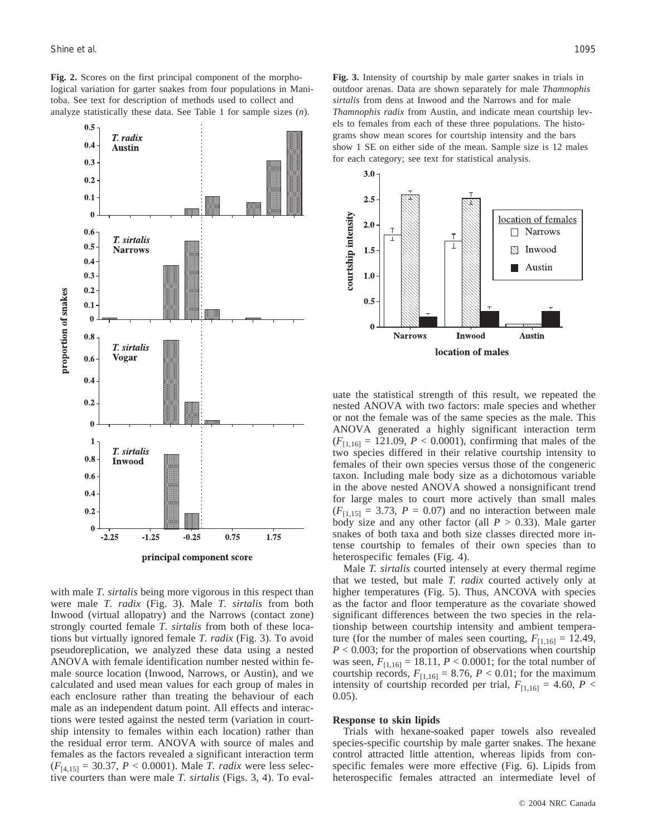$0.5$ 

 $0.4$ 

T. radix

**Austin** 

**Fig. 2.** Scores on the first principal component of the morphological variation for garter snakes from four populations in Manitoba. See text for description of methods used to collect and analyze statistically these data. See Table 1 for sample sizes (*n*).



principal component score

with male *T. sirtalis* being more vigorous in this respect than were male *T. radix* (Fig. 3). Male *T. sirtalis* from both Inwood (virtual allopatry) and the Narrows (contact zone) strongly courted female *T. sirtalis* from both of these locations but virtually ignored female *T. radix* (Fig. 3). To avoid pseudoreplication, we analyzed these data using a nested ANOVA with female identification number nested within female source location (Inwood, Narrows, or Austin), and we calculated and used mean values for each group of males in each enclosure rather than treating the behaviour of each male as an independent datum point. All effects and interactions were tested against the nested term (variation in courtship intensity to females within each location) rather than the residual error term. ANOVA with source of males and females as the factors revealed a significant interaction term (*F*[4,15] = 30.37, *P* < 0.0001). Male *T. radix* were less selective courters than were male *T. sirtalis* (Figs. 3, 4). To eval-

**Fig. 3.** Intensity of courtship by male garter snakes in trials in outdoor arenas. Data are shown separately for male *Thamnophis sirtalis* from dens at Inwood and the Narrows and for male *Thamnophis radix* from Austin, and indicate mean courtship levels to females from each of these three populations. The histograms show mean scores for courtship intensity and the bars show 1 SE on either side of the mean. Sample size is 12 males for each category; see text for statistical analysis.



uate the statistical strength of this result, we repeated the nested ANOVA with two factors: male species and whether or not the female was of the same species as the male. This ANOVA generated a highly significant interaction term  $(F_{[1,16]} = 121.09, P < 0.0001)$ , confirming that males of the two species differed in their relative courtship intensity to females of their own species versus those of the congeneric taxon. Including male body size as a dichotomous variable in the above nested ANOVA showed a nonsignificant trend for large males to court more actively than small males  $(F<sub>[1,15]</sub> = 3.73, P = 0.07)$  and no interaction between male body size and any other factor (all  $P > 0.33$ ). Male garter snakes of both taxa and both size classes directed more intense courtship to females of their own species than to heterospecific females (Fig. 4).

Male *T. sirtalis* courted intensely at every thermal regime that we tested, but male *T. radix* courted actively only at higher temperatures (Fig. 5). Thus, ANCOVA with species as the factor and floor temperature as the covariate showed significant differences between the two species in the relationship between courtship intensity and ambient temperature (for the number of males seen courting,  $F_{[1,16]} = 12.49$ , *P* < 0.003; for the proportion of observations when courtship was seen,  $F_{[1,16]} = 18.11$ ,  $P < 0.0001$ ; for the total number of courtship records,  $F_{[1,16]} = 8.76$ ,  $P < 0.01$ ; for the maximum intensity of courtship recorded per trial,  $F_{[1,16]} = 4.60$ ,  $P <$ 0.05).

#### **Response to skin lipids**

Trials with hexane-soaked paper towels also revealed species-specific courtship by male garter snakes. The hexane control attracted little attention, whereas lipids from conspecific females were more effective (Fig. 6). Lipids from heterospecific females attracted an intermediate level of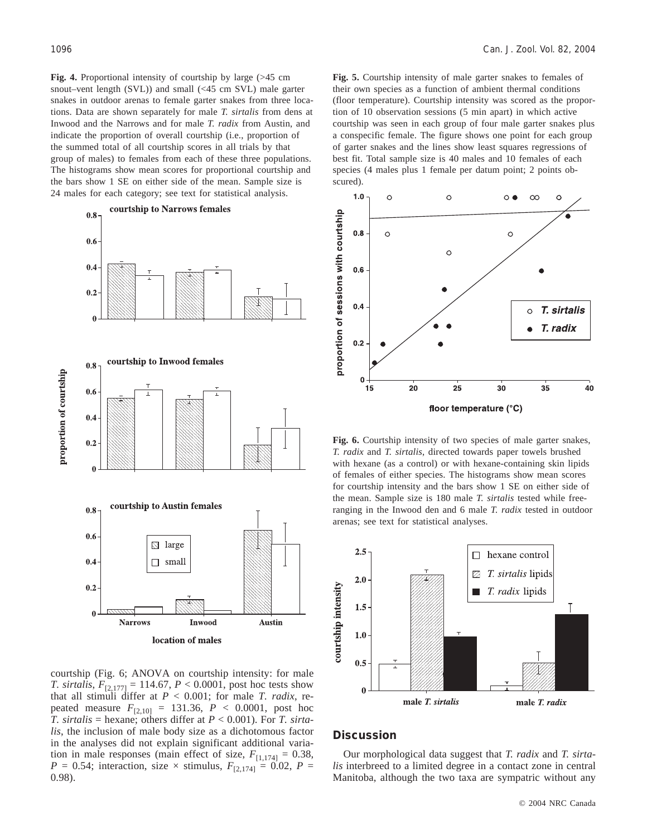**Fig. 4.** Proportional intensity of courtship by large (>45 cm snout–vent length (SVL)) and small (<45 cm SVL) male garter snakes in outdoor arenas to female garter snakes from three locations. Data are shown separately for male *T. sirtalis* from dens at Inwood and the Narrows and for male *T. radix* from Austin, and indicate the proportion of overall courtship (i.e., proportion of the summed total of all courtship scores in all trials by that group of males) to females from each of these three populations. The histograms show mean scores for proportional courtship and the bars show 1 SE on either side of the mean. Sample size is 24 males for each category; see text for statistical analysis.



courtship (Fig. 6; ANOVA on courtship intensity: for male *T. sirtalis*,  $F_{[2,177]} = 114.67$ ,  $P < 0.0001$ , post hoc tests show that all stimuli differ at *P* < 0.001; for male *T. radix*, repeated measure  $F_{[2,10]} = 131.36, P < 0.0001, \text{post hoc}$ *T. sirtalis* = hexane; others differ at  $P < 0.001$ ). For *T. sirtalis*, the inclusion of male body size as a dichotomous factor in the analyses did not explain significant additional variation in male responses (main effect of size,  $F_{[1,174]} = 0.38$ , *P* = 0.54; interaction, size  $\times$  stimulus,  $F_{[2,174]} = 0.02$ , *P* = 0.98).

**Fig. 5.** Courtship intensity of male garter snakes to females of their own species as a function of ambient thermal conditions (floor temperature). Courtship intensity was scored as the proportion of 10 observation sessions (5 min apart) in which active courtship was seen in each group of four male garter snakes plus a conspecific female. The figure shows one point for each group of garter snakes and the lines show least squares regressions of best fit. Total sample size is 40 males and 10 females of each species (4 males plus 1 female per datum point; 2 points obscured).



**Fig. 6.** Courtship intensity of two species of male garter snakes, *T. radix* and *T. sirtalis*, directed towards paper towels brushed with hexane (as a control) or with hexane-containing skin lipids of females of either species. The histograms show mean scores for courtship intensity and the bars show 1 SE on either side of the mean. Sample size is 180 male *T. sirtalis* tested while freeranging in the Inwood den and 6 male *T. radix* tested in outdoor arenas; see text for statistical analyses.



## **Discussion**

Our morphological data suggest that *T. radix* and *T. sirtalis* interbreed to a limited degree in a contact zone in central Manitoba, although the two taxa are sympatric without any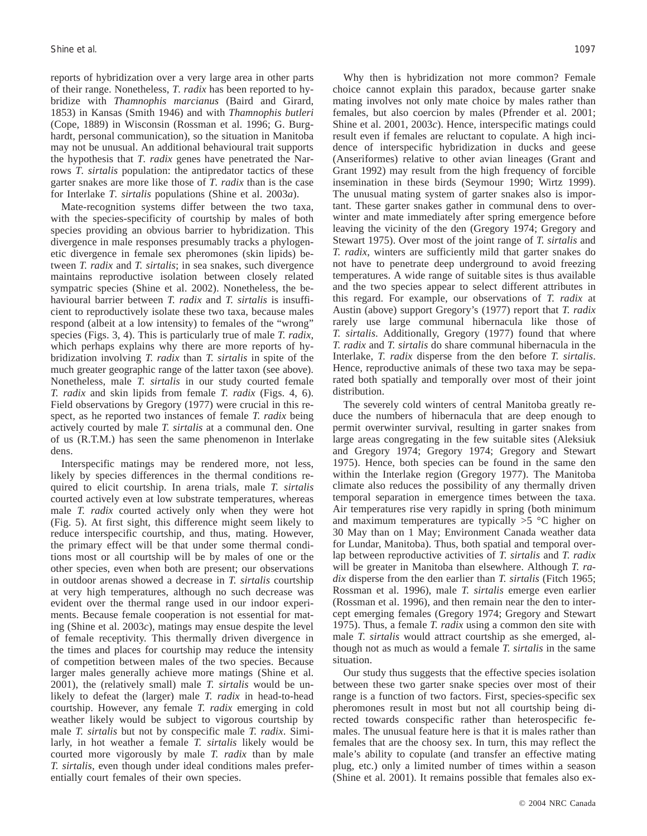reports of hybridization over a very large area in other parts of their range. Nonetheless, *T. radix* has been reported to hybridize with *Thamnophis marcianus* (Baird and Girard, 1853) in Kansas (Smith 1946) and with *Thamnophis butleri* (Cope, 1889) in Wisconsin (Rossman et al. 1996; G. Burghardt, personal communication), so the situation in Manitoba may not be unusual. An additional behavioural trait supports the hypothesis that *T. radix* genes have penetrated the Narrows *T. sirtalis* population: the antipredator tactics of these garter snakes are more like those of *T. radix* than is the case for Interlake *T. sirtalis* populations (Shine et al. 2003*a*).

Mate-recognition systems differ between the two taxa, with the species-specificity of courtship by males of both species providing an obvious barrier to hybridization. This divergence in male responses presumably tracks a phylogenetic divergence in female sex pheromones (skin lipids) between *T. radix* and *T. sirtalis*; in sea snakes, such divergence maintains reproductive isolation between closely related sympatric species (Shine et al. 2002). Nonetheless, the behavioural barrier between *T. radix* and *T. sirtalis* is insufficient to reproductively isolate these two taxa, because males respond (albeit at a low intensity) to females of the "wrong" species (Figs. 3, 4). This is particularly true of male *T. radix*, which perhaps explains why there are more reports of hybridization involving *T. radix* than *T. sirtalis* in spite of the much greater geographic range of the latter taxon (see above). Nonetheless, male *T. sirtalis* in our study courted female *T. radix* and skin lipids from female *T. radix* (Figs. 4, 6). Field observations by Gregory (1977) were crucial in this respect, as he reported two instances of female *T. radix* being actively courted by male *T. sirtalis* at a communal den. One of us (R.T.M.) has seen the same phenomenon in Interlake dens.

Interspecific matings may be rendered more, not less, likely by species differences in the thermal conditions required to elicit courtship. In arena trials, male *T. sirtalis* courted actively even at low substrate temperatures, whereas male *T. radix* courted actively only when they were hot (Fig. 5). At first sight, this difference might seem likely to reduce interspecific courtship, and thus, mating. However, the primary effect will be that under some thermal conditions most or all courtship will be by males of one or the other species, even when both are present; our observations in outdoor arenas showed a decrease in *T. sirtalis* courtship at very high temperatures, although no such decrease was evident over the thermal range used in our indoor experiments. Because female cooperation is not essential for mating (Shine et al. 2003*c*), matings may ensue despite the level of female receptivity. This thermally driven divergence in the times and places for courtship may reduce the intensity of competition between males of the two species. Because larger males generally achieve more matings (Shine et al. 2001), the (relatively small) male *T. sirtalis* would be unlikely to defeat the (larger) male *T. radix* in head-to-head courtship. However, any female *T. radix* emerging in cold weather likely would be subject to vigorous courtship by male *T. sirtalis* but not by conspecific male *T. radix*. Similarly, in hot weather a female *T. sirtalis* likely would be courted more vigorously by male *T. radix* than by male *T. sirtalis*, even though under ideal conditions males preferentially court females of their own species.

Why then is hybridization not more common? Female choice cannot explain this paradox, because garter snake mating involves not only mate choice by males rather than females, but also coercion by males (Pfrender et al. 2001; Shine et al. 2001, 2003*c*). Hence, interspecific matings could result even if females are reluctant to copulate. A high incidence of interspecific hybridization in ducks and geese (Anseriformes) relative to other avian lineages (Grant and Grant 1992) may result from the high frequency of forcible insemination in these birds (Seymour 1990; Wirtz 1999). The unusual mating system of garter snakes also is important. These garter snakes gather in communal dens to overwinter and mate immediately after spring emergence before leaving the vicinity of the den (Gregory 1974; Gregory and Stewart 1975). Over most of the joint range of *T. sirtalis* and *T. radix*, winters are sufficiently mild that garter snakes do not have to penetrate deep underground to avoid freezing temperatures. A wide range of suitable sites is thus available and the two species appear to select different attributes in this regard. For example, our observations of *T. radix* at Austin (above) support Gregory's (1977) report that *T. radix* rarely use large communal hibernacula like those of *T. sirtalis*. Additionally, Gregory (1977) found that where *T. radix* and *T. sirtalis* do share communal hibernacula in the Interlake, *T. radix* disperse from the den before *T. sirtalis*. Hence, reproductive animals of these two taxa may be separated both spatially and temporally over most of their joint distribution.

The severely cold winters of central Manitoba greatly reduce the numbers of hibernacula that are deep enough to permit overwinter survival, resulting in garter snakes from large areas congregating in the few suitable sites (Aleksiuk and Gregory 1974; Gregory 1974; Gregory and Stewart 1975). Hence, both species can be found in the same den within the Interlake region (Gregory 1977). The Manitoba climate also reduces the possibility of any thermally driven temporal separation in emergence times between the taxa. Air temperatures rise very rapidly in spring (both minimum and maximum temperatures are typically  $>5$  °C higher on 30 May than on 1 May; Environment Canada weather data for Lundar, Manitoba). Thus, both spatial and temporal overlap between reproductive activities of *T. sirtalis* and *T. radix* will be greater in Manitoba than elsewhere. Although *T. radix* disperse from the den earlier than *T. sirtalis* (Fitch 1965; Rossman et al. 1996), male *T. sirtalis* emerge even earlier (Rossman et al. 1996), and then remain near the den to intercept emerging females (Gregory 1974; Gregory and Stewart 1975). Thus, a female *T. radix* using a common den site with male *T. sirtalis* would attract courtship as she emerged, although not as much as would a female *T. sirtalis* in the same situation.

Our study thus suggests that the effective species isolation between these two garter snake species over most of their range is a function of two factors. First, species-specific sex pheromones result in most but not all courtship being directed towards conspecific rather than heterospecific females. The unusual feature here is that it is males rather than females that are the choosy sex. In turn, this may reflect the male's ability to copulate (and transfer an effective mating plug, etc.) only a limited number of times within a season (Shine et al. 2001). It remains possible that females also ex